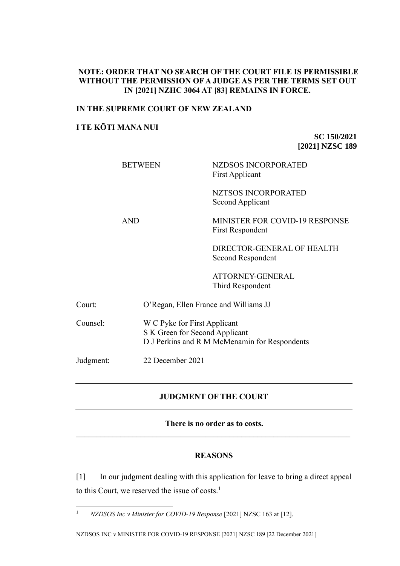### **NOTE: ORDER THAT NO SEARCH OF THE COURT FILE IS PERMISSIBLE WITHOUT THE PERMISSION OF A JUDGE AS PER THE TERMS SET OUT IN [2021] NZHC 3064 AT [83] REMAINS IN FORCE.**

#### **IN THE SUPREME COURT OF NEW ZEALAND**

### **I TE KŌTI MANA NUI**

**SC 150/2021 [2021] NZSC 189**

|           | <b>BETWEEN</b>   | <b>NZDSOS INCORPORATED</b><br><b>First Applicant</b>                                                            |  |
|-----------|------------------|-----------------------------------------------------------------------------------------------------------------|--|
|           |                  | <b>NZTSOS INCORPORATED</b><br>Second Applicant                                                                  |  |
|           | <b>AND</b>       | <b>MINISTER FOR COVID-19 RESPONSE</b><br><b>First Respondent</b>                                                |  |
|           |                  | DIRECTOR-GENERAL OF HEALTH<br>Second Respondent                                                                 |  |
|           |                  | ATTORNEY-GENERAL<br>Third Respondent                                                                            |  |
| Court:    |                  | O'Regan, Ellen France and Williams JJ                                                                           |  |
| Counsel:  |                  | W C Pyke for First Applicant<br>S K Green for Second Applicant<br>D J Perkins and R M McMenamin for Respondents |  |
| Judgment: | 22 December 2021 |                                                                                                                 |  |

# **JUDGMENT OF THE COURT**

**There is no order as to costs.**

# **REASONS**

[1] In our judgment dealing with this application for leave to bring a direct appeal to this Court, we reserved the issue of costs.<sup>1</sup>

<sup>1</sup> *NZDSOS Inc v Minister for COVID-19 Response* [2021] NZSC 163 at [12].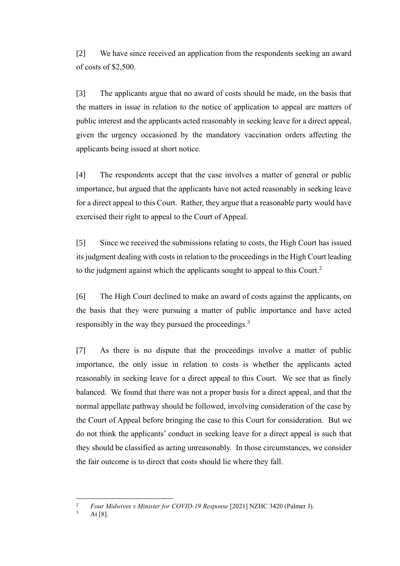[2] We have since received an application from the respondents seeking an award of costs of \$2,500.

[3] The applicants argue that no award of costs should be made, on the basis that the matters in issue in relation to the notice of application to appeal are matters of public interest and the applicants acted reasonably in seeking leave for a direct appeal, given the urgency occasioned by the mandatory vaccination orders affecting the applicants being issued at short notice.

[4] The respondents accept that the case involves a matter of general or public importance, but argued that the applicants have not acted reasonably in seeking leave for a direct appeal to this Court. Rather, they argue that a reasonable party would have exercised their right to appeal to the Court of Appeal.

[5] Since we received the submissions relating to costs, the High Court has issued its judgment dealing with costs in relation to the proceedings in the High Court leading to the judgment against which the applicants sought to appeal to this Court.<sup>2</sup>

[6] The High Court declined to make an award of costs against the applicants, on the basis that they were pursuing a matter of public importance and have acted responsibly in the way they pursued the proceedings.<sup>3</sup>

[7] As there is no dispute that the proceedings involve a matter of public importance, the only issue in relation to costs is whether the applicants acted reasonably in seeking leave for a direct appeal to this Court. We see that as finely balanced. We found that there was not a proper basis for a direct appeal, and that the normal appellate pathway should be followed, involving consideration of the case by the Court of Appeal before bringing the case to this Court for consideration. But we do not think the applicants' conduct in seeking leave for a direct appeal is such that they should be classified as acting unreasonably. In those circumstances, we consider the fair outcome is to direct that costs should lie where they fall.

<sup>2</sup> *Four Midwives v Minister for COVID-19 Response* [2021] NZHC 3420 (Palmer J).

At  $[8]$ .